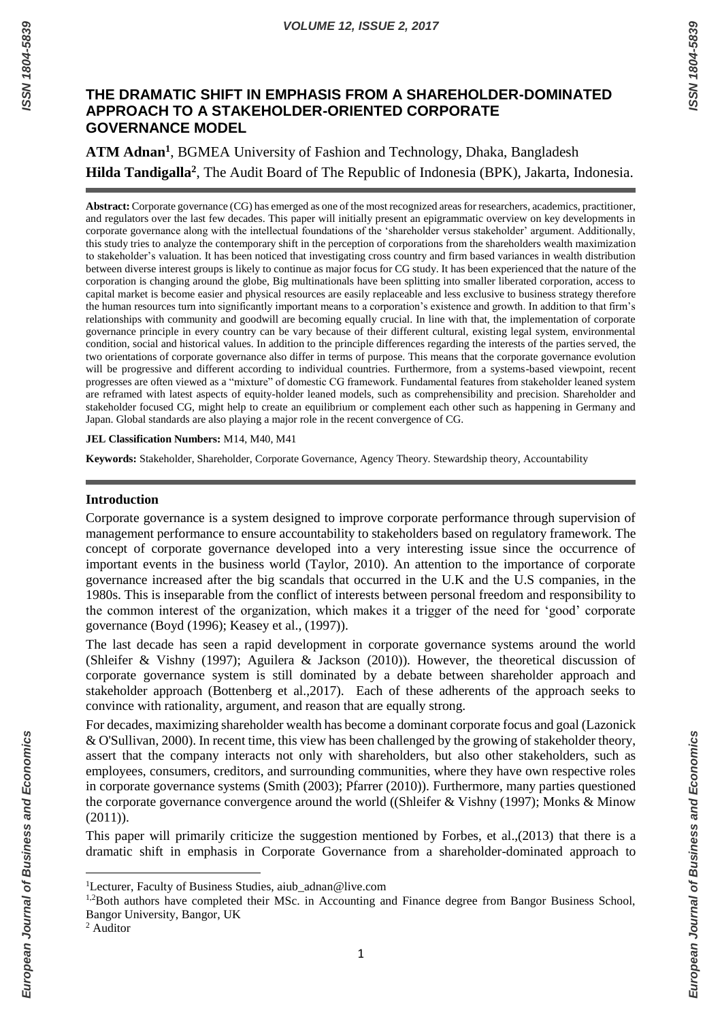European Journal of Business and Economics

# **THE DRAMATIC SHIFT IN EMPHASIS FROM A SHAREHOLDER-DOMINATED APPROACH TO A STAKEHOLDER-ORIENTED CORPORATE GOVERNANCE MODEL**

**ATM Adnan<sup>1</sup>** , BGMEA University of Fashion and Technology, Dhaka, Bangladesh **Hilda Tandigalla<sup>2</sup>** , The Audit Board of The Republic of Indonesia (BPK), Jakarta, Indonesia.

**Abstract:** Corporate governance (CG) has emerged as one of the most recognized areas for researchers, academics, practitioner, and regulators over the last few decades. This paper will initially present an epigrammatic overview on key developments in corporate governance along with the intellectual foundations of the 'shareholder versus stakeholder' argument. Additionally, this study tries to analyze the contemporary shift in the perception of corporations from the shareholders wealth maximization to stakeholder's valuation. It has been noticed that investigating cross country and firm based variances in wealth distribution between diverse interest groups is likely to continue as major focus for CG study. It has been experienced that the nature of the corporation is changing around the globe, Big multinationals have been splitting into smaller liberated corporation, access to capital market is become easier and physical resources are easily replaceable and less exclusive to business strategy therefore the human resources turn into significantly important means to a corporation's existence and growth. In addition to that firm's relationships with community and goodwill are becoming equally crucial. In line with that, the implementation of corporate governance principle in every country can be vary because of their different cultural, existing legal system, environmental condition, social and historical values. In addition to the principle differences regarding the interests of the parties served, the two orientations of corporate governance also differ in terms of purpose. This means that the corporate governance evolution will be progressive and different according to individual countries. Furthermore, from a systems-based viewpoint, recent progresses are often viewed as a "mixture" of domestic CG framework. Fundamental features from stakeholder leaned system are reframed with latest aspects of equity-holder leaned models, such as comprehensibility and precision. Shareholder and stakeholder focused CG, might help to create an equilibrium or complement each other such as happening in Germany and Japan. Global standards are also playing a major role in the recent convergence of CG.

**JEL Classification Numbers:** M14, M40, M41

**Keywords:** Stakeholder, Shareholder, Corporate Governance, Agency Theory. Stewardship theory, Accountability

## **Introduction**

Corporate governance is a system designed to improve corporate performance through supervision of management performance to ensure accountability to stakeholders based on regulatory framework. The concept of corporate governance developed into a very interesting issue since the occurrence of important events in the business world (Taylor, 2010). An attention to the importance of corporate governance increased after the big scandals that occurred in the U.K and the U.S companies, in the 1980s. This is inseparable from the conflict of interests between personal freedom and responsibility to the common interest of the organization, which makes it a trigger of the need for 'good' corporate governance (Boyd (1996); Keasey et al., (1997)).

The last decade has seen a rapid development in corporate governance systems around the world (Shleifer & Vishny (1997); Aguilera & Jackson (2010)). However, the theoretical discussion of corporate governance system is still dominated by a debate between shareholder approach and stakeholder approach (Bottenberg et al.,2017). Each of these adherents of the approach seeks to convince with rationality, argument, and reason that are equally strong.

For decades, maximizing shareholder wealth has become a dominant corporate focus and goal (Lazonick & O'Sullivan, 2000). In recent time, this view has been challenged by the growing of stakeholder theory, assert that the company interacts not only with shareholders, but also other stakeholders, such as employees, consumers, creditors, and surrounding communities, where they have own respective roles in corporate governance systems (Smith (2003); Pfarrer (2010)). Furthermore, many parties questioned the corporate governance convergence around the world ((Shleifer & Vishny (1997); Monks & Minow (2011)).

This paper will primarily criticize the suggestion mentioned by Forbes, et al.,(2013) that there is a dramatic shift in emphasis in Corporate Governance from a shareholder-dominated approach to

**.** 

<sup>&</sup>lt;sup>1</sup>Lecturer, Faculty of Business Studies, aiub adnan@live.com

<sup>&</sup>lt;sup>1,2</sup>Both authors have completed their MSc. in Accounting and Finance degree from Bangor Business School, Bangor University, Bangor, UK

<sup>2</sup> Auditor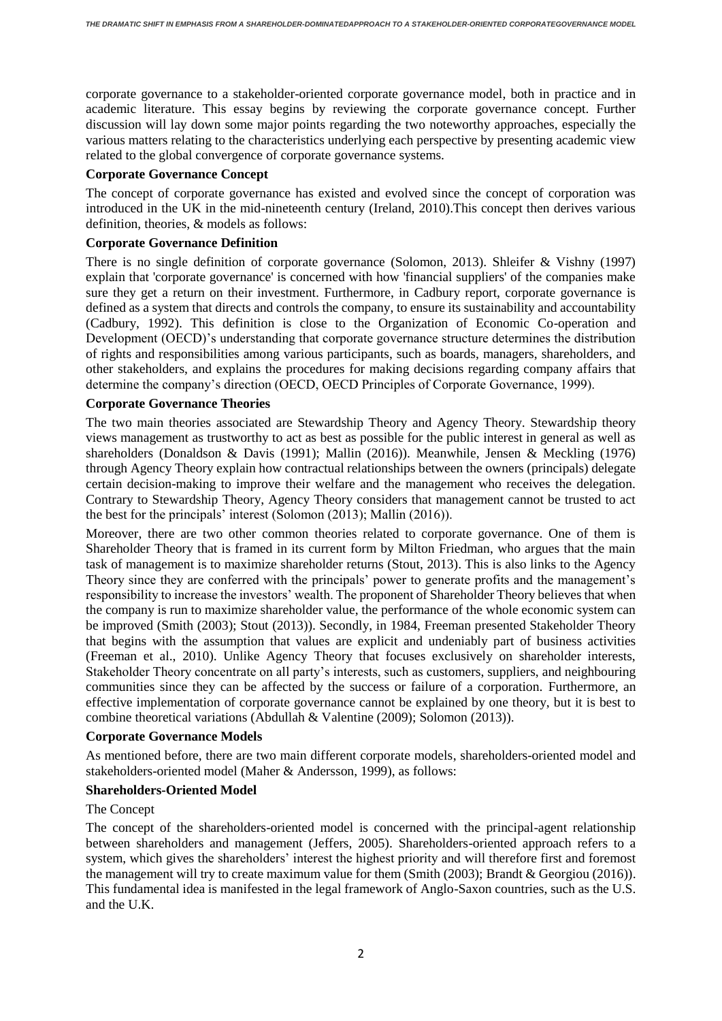corporate governance to a stakeholder-oriented corporate governance model, both in practice and in academic literature. This essay begins by reviewing the corporate governance concept. Further discussion will lay down some major points regarding the two noteworthy approaches, especially the various matters relating to the characteristics underlying each perspective by presenting academic view related to the global convergence of corporate governance systems.

## **Corporate Governance Concept**

The concept of corporate governance has existed and evolved since the concept of corporation was introduced in the UK in the mid-nineteenth century (Ireland, 2010).This concept then derives various definition, theories, & models as follows:

### **Corporate Governance Definition**

There is no single definition of corporate governance (Solomon, 2013). Shleifer & Vishny (1997) explain that 'corporate governance' is concerned with how 'financial suppliers' of the companies make sure they get a return on their investment. Furthermore, in Cadbury report, corporate governance is defined as a system that directs and controls the company, to ensure its sustainability and accountability (Cadbury, 1992). This definition is close to the Organization of Economic Co-operation and Development (OECD)'s understanding that corporate governance structure determines the distribution of rights and responsibilities among various participants, such as boards, managers, shareholders, and other stakeholders, and explains the procedures for making decisions regarding company affairs that determine the company's direction (OECD, OECD Principles of Corporate Governance, 1999).

#### **Corporate Governance Theories**

The two main theories associated are Stewardship Theory and Agency Theory. Stewardship theory views management as trustworthy to act as best as possible for the public interest in general as well as shareholders (Donaldson & Davis (1991); Mallin (2016)). Meanwhile, Jensen & Meckling (1976) through Agency Theory explain how contractual relationships between the owners (principals) delegate certain decision-making to improve their welfare and the management who receives the delegation. Contrary to Stewardship Theory, Agency Theory considers that management cannot be trusted to act the best for the principals' interest (Solomon (2013); Mallin (2016)).

Moreover, there are two other common theories related to corporate governance. One of them is Shareholder Theory that is framed in its current form by Milton Friedman, who argues that the main task of management is to maximize shareholder returns (Stout, 2013). This is also links to the Agency Theory since they are conferred with the principals' power to generate profits and the management's responsibility to increase the investors' wealth. The proponent of Shareholder Theory believes that when the company is run to maximize shareholder value, the performance of the whole economic system can be improved (Smith (2003); Stout (2013)). Secondly, in 1984, Freeman presented Stakeholder Theory that begins with the assumption that values are explicit and undeniably part of business activities (Freeman et al., 2010). Unlike Agency Theory that focuses exclusively on shareholder interests, Stakeholder Theory concentrate on all party's interests, such as customers, suppliers, and neighbouring communities since they can be affected by the success or failure of a corporation. Furthermore, an effective implementation of corporate governance cannot be explained by one theory, but it is best to combine theoretical variations (Abdullah & Valentine (2009); Solomon (2013)).

## **Corporate Governance Models**

As mentioned before, there are two main different corporate models, shareholders-oriented model and stakeholders-oriented model (Maher & Andersson, 1999), as follows:

## **Shareholders-Oriented Model**

#### The Concept

The concept of the shareholders-oriented model is concerned with the principal-agent relationship between shareholders and management (Jeffers, 2005). Shareholders-oriented approach refers to a system, which gives the shareholders' interest the highest priority and will therefore first and foremost the management will try to create maximum value for them (Smith (2003); Brandt & Georgiou (2016)). This fundamental idea is manifested in the legal framework of Anglo-Saxon countries, such as the U.S. and the U.K.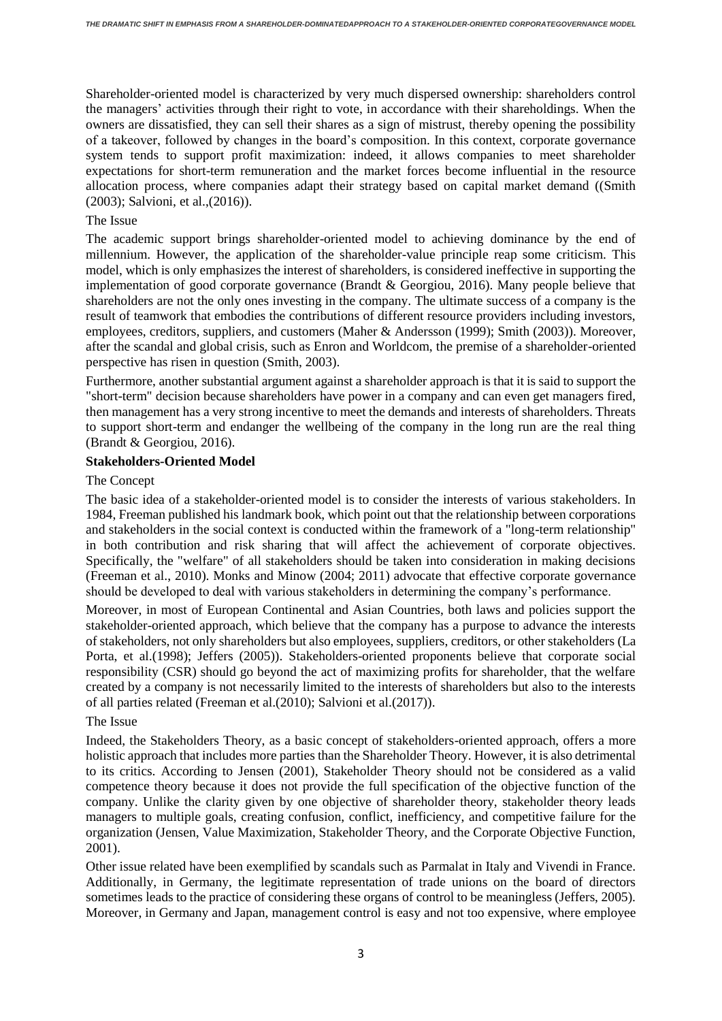Shareholder-oriented model is characterized by very much dispersed ownership: shareholders control the managers' activities through their right to vote, in accordance with their shareholdings. When the owners are dissatisfied, they can sell their shares as a sign of mistrust, thereby opening the possibility of a takeover, followed by changes in the board's composition. In this context, corporate governance system tends to support profit maximization: indeed, it allows companies to meet shareholder expectations for short-term remuneration and the market forces become influential in the resource allocation process, where companies adapt their strategy based on capital market demand ((Smith (2003); Salvioni, et al.,(2016)).

## The Issue

The academic support brings shareholder-oriented model to achieving dominance by the end of millennium. However, the application of the shareholder-value principle reap some criticism. This model, which is only emphasizes the interest of shareholders, is considered ineffective in supporting the implementation of good corporate governance (Brandt & Georgiou, 2016). Many people believe that shareholders are not the only ones investing in the company. The ultimate success of a company is the result of teamwork that embodies the contributions of different resource providers including investors, employees, creditors, suppliers, and customers (Maher & Andersson (1999); Smith (2003)). Moreover, after the scandal and global crisis, such as Enron and Worldcom, the premise of a shareholder-oriented perspective has risen in question (Smith, 2003).

Furthermore, another substantial argument against a shareholder approach is that it is said to support the "short-term" decision because shareholders have power in a company and can even get managers fired, then management has a very strong incentive to meet the demands and interests of shareholders. Threats to support short-term and endanger the wellbeing of the company in the long run are the real thing (Brandt & Georgiou, 2016).

#### **Stakeholders-Oriented Model**

#### The Concept

The basic idea of a stakeholder-oriented model is to consider the interests of various stakeholders. In 1984, Freeman published his landmark book, which point out that the relationship between corporations and stakeholders in the social context is conducted within the framework of a "long-term relationship" in both contribution and risk sharing that will affect the achievement of corporate objectives. Specifically, the "welfare" of all stakeholders should be taken into consideration in making decisions (Freeman et al., 2010). Monks and Minow (2004; 2011) advocate that effective corporate governance should be developed to deal with various stakeholders in determining the company's performance.

Moreover, in most of European Continental and Asian Countries, both laws and policies support the stakeholder-oriented approach, which believe that the company has a purpose to advance the interests of stakeholders, not only shareholders but also employees, suppliers, creditors, or other stakeholders (La Porta, et al.(1998); Jeffers (2005)). Stakeholders-oriented proponents believe that corporate social responsibility (CSR) should go beyond the act of maximizing profits for shareholder, that the welfare created by a company is not necessarily limited to the interests of shareholders but also to the interests of all parties related (Freeman et al.(2010); Salvioni et al.(2017)).

## The Issue

Indeed, the Stakeholders Theory, as a basic concept of stakeholders-oriented approach, offers a more holistic approach that includes more parties than the Shareholder Theory. However, it is also detrimental to its critics. According to Jensen (2001), Stakeholder Theory should not be considered as a valid competence theory because it does not provide the full specification of the objective function of the company. Unlike the clarity given by one objective of shareholder theory, stakeholder theory leads managers to multiple goals, creating confusion, conflict, inefficiency, and competitive failure for the organization (Jensen, Value Maximization, Stakeholder Theory, and the Corporate Objective Function, 2001).

Other issue related have been exemplified by scandals such as Parmalat in Italy and Vivendi in France. Additionally, in Germany, the legitimate representation of trade unions on the board of directors sometimes leads to the practice of considering these organs of control to be meaningless (Jeffers, 2005). Moreover, in Germany and Japan, management control is easy and not too expensive, where employee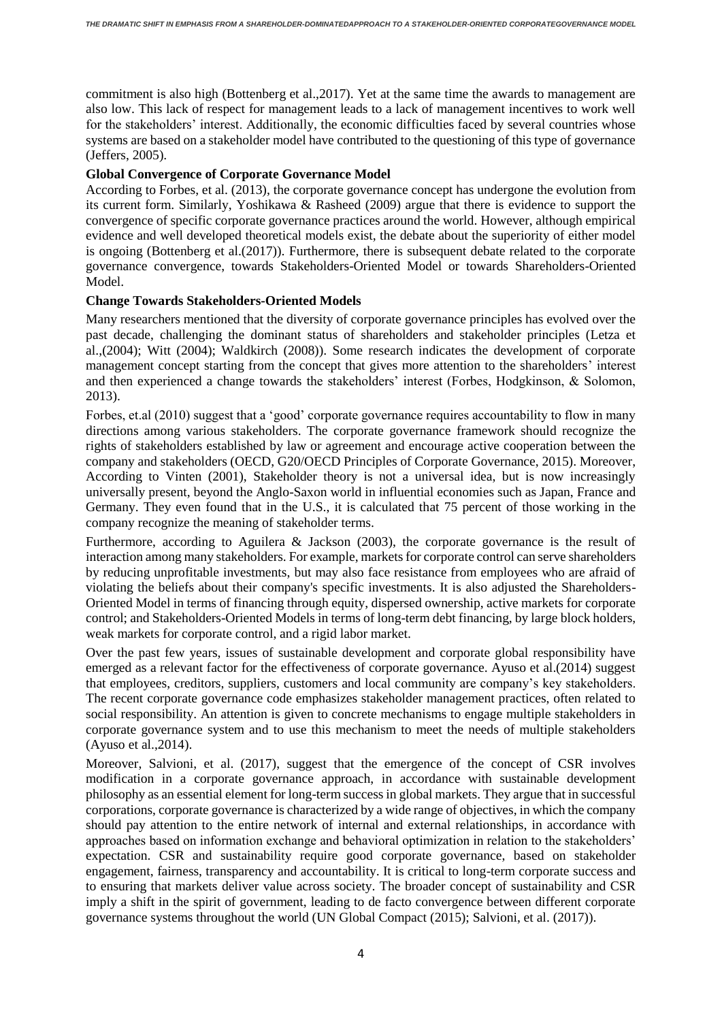commitment is also high (Bottenberg et al.,2017). Yet at the same time the awards to management are also low. This lack of respect for management leads to a lack of management incentives to work well for the stakeholders' interest. Additionally, the economic difficulties faced by several countries whose systems are based on a stakeholder model have contributed to the questioning of this type of governance (Jeffers, 2005).

## **Global Convergence of Corporate Governance Model**

According to Forbes, et al. (2013), the corporate governance concept has undergone the evolution from its current form. Similarly, Yoshikawa & Rasheed (2009) argue that there is evidence to support the convergence of specific corporate governance practices around the world. However, although empirical evidence and well developed theoretical models exist, the debate about the superiority of either model is ongoing (Bottenberg et al.(2017)). Furthermore, there is subsequent debate related to the corporate governance convergence, towards Stakeholders-Oriented Model or towards Shareholders-Oriented Model.

## **Change Towards Stakeholders-Oriented Models**

Many researchers mentioned that the diversity of corporate governance principles has evolved over the past decade, challenging the dominant status of shareholders and stakeholder principles (Letza et al.,(2004); Witt (2004); Waldkirch (2008)). Some research indicates the development of corporate management concept starting from the concept that gives more attention to the shareholders' interest and then experienced a change towards the stakeholders' interest (Forbes, Hodgkinson, & Solomon, 2013).

Forbes, et.al (2010) suggest that a 'good' corporate governance requires accountability to flow in many directions among various stakeholders. The corporate governance framework should recognize the rights of stakeholders established by law or agreement and encourage active cooperation between the company and stakeholders (OECD, G20/OECD Principles of Corporate Governance, 2015). Moreover, According to Vinten (2001), Stakeholder theory is not a universal idea, but is now increasingly universally present, beyond the Anglo-Saxon world in influential economies such as Japan, France and Germany. They even found that in the U.S., it is calculated that 75 percent of those working in the company recognize the meaning of stakeholder terms.

Furthermore, according to Aguilera & Jackson (2003), the corporate governance is the result of interaction among many stakeholders. For example, markets for corporate control can serve shareholders by reducing unprofitable investments, but may also face resistance from employees who are afraid of violating the beliefs about their company's specific investments. It is also adjusted the Shareholders-Oriented Model in terms of financing through equity, dispersed ownership, active markets for corporate control; and Stakeholders-Oriented Models in terms of long-term debt financing, by large block holders, weak markets for corporate control, and a rigid labor market.

Over the past few years, issues of sustainable development and corporate global responsibility have emerged as a relevant factor for the effectiveness of corporate governance. Ayuso et al.(2014) suggest that employees, creditors, suppliers, customers and local community are company's key stakeholders. The recent corporate governance code emphasizes stakeholder management practices, often related to social responsibility. An attention is given to concrete mechanisms to engage multiple stakeholders in corporate governance system and to use this mechanism to meet the needs of multiple stakeholders (Ayuso et al.,2014).

Moreover, Salvioni, et al. (2017), suggest that the emergence of the concept of CSR involves modification in a corporate governance approach, in accordance with sustainable development philosophy as an essential element for long-term success in global markets. They argue that in successful corporations, corporate governance is characterized by a wide range of objectives, in which the company should pay attention to the entire network of internal and external relationships, in accordance with approaches based on information exchange and behavioral optimization in relation to the stakeholders' expectation. CSR and sustainability require good corporate governance, based on stakeholder engagement, fairness, transparency and accountability. It is critical to long-term corporate success and to ensuring that markets deliver value across society. The broader concept of sustainability and CSR imply a shift in the spirit of government, leading to de facto convergence between different corporate governance systems throughout the world (UN Global Compact (2015); Salvioni, et al. (2017)).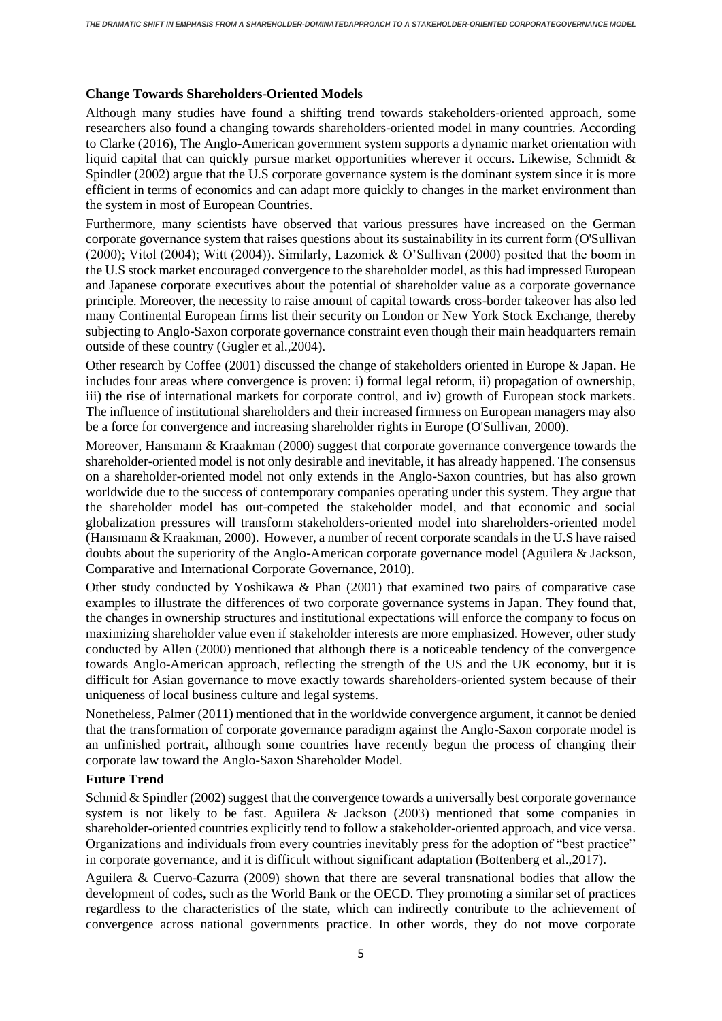## **Change Towards Shareholders-Oriented Models**

Although many studies have found a shifting trend towards stakeholders-oriented approach, some researchers also found a changing towards shareholders-oriented model in many countries. According to Clarke (2016), The Anglo-American government system supports a dynamic market orientation with liquid capital that can quickly pursue market opportunities wherever it occurs. Likewise, Schmidt & Spindler (2002) argue that the U.S corporate governance system is the dominant system since it is more efficient in terms of economics and can adapt more quickly to changes in the market environment than the system in most of European Countries.

Furthermore, many scientists have observed that various pressures have increased on the German corporate governance system that raises questions about its sustainability in its current form (O'Sullivan (2000); Vitol (2004); Witt (2004)). Similarly, Lazonick & O'Sullivan (2000) posited that the boom in the U.S stock market encouraged convergence to the shareholder model, as this had impressed European and Japanese corporate executives about the potential of shareholder value as a corporate governance principle. Moreover, the necessity to raise amount of capital towards cross-border takeover has also led many Continental European firms list their security on London or New York Stock Exchange, thereby subjecting to Anglo-Saxon corporate governance constraint even though their main headquarters remain outside of these country (Gugler et al.,2004).

Other research by Coffee (2001) discussed the change of stakeholders oriented in Europe & Japan. He includes four areas where convergence is proven: i) formal legal reform, ii) propagation of ownership, iii) the rise of international markets for corporate control, and iv) growth of European stock markets. The influence of institutional shareholders and their increased firmness on European managers may also be a force for convergence and increasing shareholder rights in Europe (O'Sullivan, 2000).

Moreover, Hansmann & Kraakman (2000) suggest that corporate governance convergence towards the shareholder-oriented model is not only desirable and inevitable, it has already happened. The consensus on a shareholder-oriented model not only extends in the Anglo-Saxon countries, but has also grown worldwide due to the success of contemporary companies operating under this system. They argue that the shareholder model has out-competed the stakeholder model, and that economic and social globalization pressures will transform stakeholders-oriented model into shareholders-oriented model (Hansmann & Kraakman, 2000). However, a number of recent corporate scandals in the U.S have raised doubts about the superiority of the Anglo-American corporate governance model (Aguilera & Jackson, Comparative and International Corporate Governance, 2010).

Other study conducted by Yoshikawa & Phan (2001) that examined two pairs of comparative case examples to illustrate the differences of two corporate governance systems in Japan. They found that, the changes in ownership structures and institutional expectations will enforce the company to focus on maximizing shareholder value even if stakeholder interests are more emphasized. However, other study conducted by Allen (2000) mentioned that although there is a noticeable tendency of the convergence towards Anglo-American approach, reflecting the strength of the US and the UK economy, but it is difficult for Asian governance to move exactly towards shareholders-oriented system because of their uniqueness of local business culture and legal systems.

Nonetheless, Palmer (2011) mentioned that in the worldwide convergence argument, it cannot be denied that the transformation of corporate governance paradigm against the Anglo-Saxon corporate model is an unfinished portrait, although some countries have recently begun the process of changing their corporate law toward the Anglo-Saxon Shareholder Model.

## **Future Trend**

Schmid & Spindler (2002) suggest that the convergence towards a universally best corporate governance system is not likely to be fast. Aguilera & Jackson (2003) mentioned that some companies in shareholder-oriented countries explicitly tend to follow a stakeholder-oriented approach, and vice versa. Organizations and individuals from every countries inevitably press for the adoption of "best practice" in corporate governance, and it is difficult without significant adaptation (Bottenberg et al.,2017).

Aguilera & Cuervo-Cazurra (2009) shown that there are several transnational bodies that allow the development of codes, such as the World Bank or the OECD. They promoting a similar set of practices regardless to the characteristics of the state, which can indirectly contribute to the achievement of convergence across national governments practice. In other words, they do not move corporate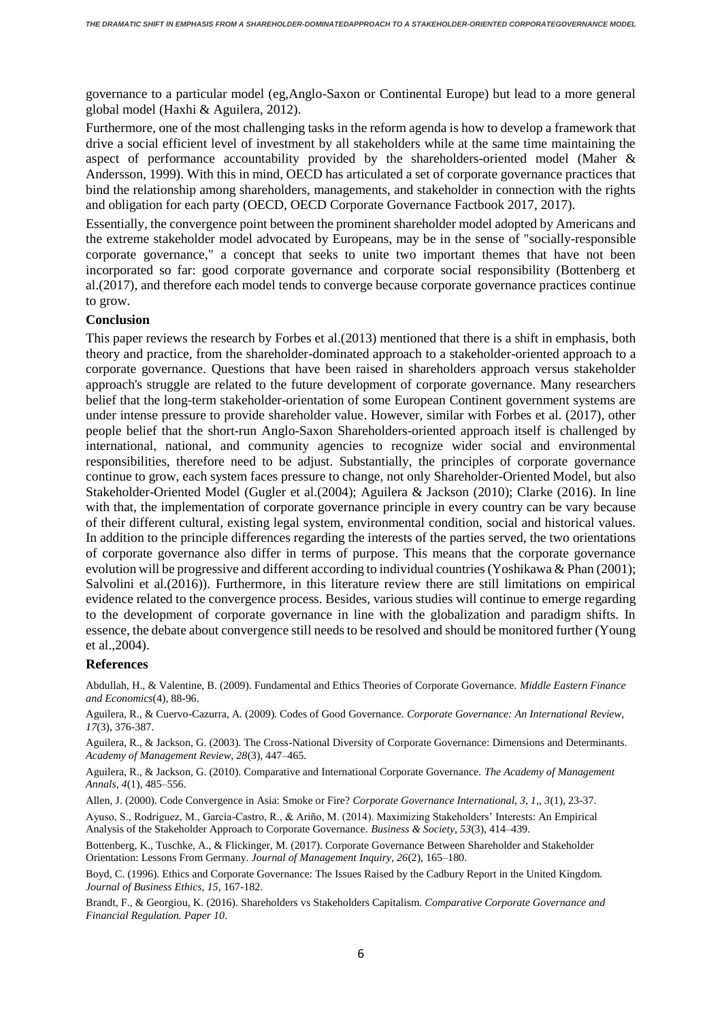governance to a particular model (eg,Anglo-Saxon or Continental Europe) but lead to a more general global model (Haxhi & Aguilera, 2012).

Furthermore, one of the most challenging tasks in the reform agenda is how to develop a framework that drive a social efficient level of investment by all stakeholders while at the same time maintaining the aspect of performance accountability provided by the shareholders-oriented model (Maher & Andersson, 1999). With this in mind, OECD has articulated a set of corporate governance practices that bind the relationship among shareholders, managements, and stakeholder in connection with the rights and obligation for each party (OECD, OECD Corporate Governance Factbook 2017, 2017).

Essentially, the convergence point between the prominent shareholder model adopted by Americans and the extreme stakeholder model advocated by Europeans, may be in the sense of "socially-responsible corporate governance," a concept that seeks to unite two important themes that have not been incorporated so far: good corporate governance and corporate social responsibility (Bottenberg et al.(2017), and therefore each model tends to converge because corporate governance practices continue to grow.

#### **Conclusion**

This paper reviews the research by Forbes et al.(2013) mentioned that there is a shift in emphasis, both theory and practice, from the shareholder-dominated approach to a stakeholder-oriented approach to a corporate governance. Questions that have been raised in shareholders approach versus stakeholder approach's struggle are related to the future development of corporate governance. Many researchers belief that the long-term stakeholder-orientation of some European Continent government systems are under intense pressure to provide shareholder value. However, similar with Forbes et al. (2017), other people belief that the short-run Anglo-Saxon Shareholders-oriented approach itself is challenged by international, national, and community agencies to recognize wider social and environmental responsibilities, therefore need to be adjust. Substantially, the principles of corporate governance continue to grow, each system faces pressure to change, not only Shareholder-Oriented Model, but also Stakeholder-Oriented Model (Gugler et al.(2004); Aguilera & Jackson (2010); Clarke (2016). In line with that, the implementation of corporate governance principle in every country can be vary because of their different cultural, existing legal system, environmental condition, social and historical values. In addition to the principle differences regarding the interests of the parties served, the two orientations of corporate governance also differ in terms of purpose. This means that the corporate governance evolution will be progressive and different according to individual countries (Yoshikawa & Phan (2001); Salvolini et al.(2016)). Furthermore, in this literature review there are still limitations on empirical evidence related to the convergence process. Besides, various studies will continue to emerge regarding to the development of corporate governance in line with the globalization and paradigm shifts. In essence, the debate about convergence still needs to be resolved and should be monitored further (Young et al.,2004).

#### **References**

Abdullah, H., & Valentine, B. (2009). Fundamental and Ethics Theories of Corporate Governance. *Middle Eastern Finance and Economics*(4), 88-96.

Aguilera, R., & Cuervo-Cazurra, A. (2009). Codes of Good Governance. *Corporate Governance: An International Review, 17*(3), 376-387.

Aguilera, R., & Jackson, G. (2003). The Cross-National Diversity of Corporate Governance: Dimensions and Determinants. *Academy of Management Review, 28*(3), 447–465.

Aguilera, R., & Jackson, G. (2010). Comparative and International Corporate Governance. *The Academy of Management Annals, 4*(1), 485–556.

Allen, J. (2000). Code Convergence in Asia: Smoke or Fire? *Corporate Governance International, 3, 1,, 3*(1), 23-37.

Ayuso, S., Rodríguez, M., García-Castro, R., & Ariño, M. (2014). Maximizing Stakeholders' Interests: An Empirical Analysis of the Stakeholder Approach to Corporate Governance. *Business & Society, 53*(3), 414–439.

Bottenberg, K., Tuschke, A., & Flickinger, M. (2017). Corporate Governance Between Shareholder and Stakeholder Orientation: Lessons From Germany. *Journal of Management Inquiry, 26*(2), 165–180.

Boyd, C. (1996). Ethics and Corporate Governance: The Issues Raised by the Cadbury Report in the United Kingdom. *Journal of Business Ethics, 15*, 167-182.

Brandt, F., & Georgiou, K. (2016). Shareholders vs Stakeholders Capitalism. *Comparative Corporate Governance and Financial Regulation. Paper 10*.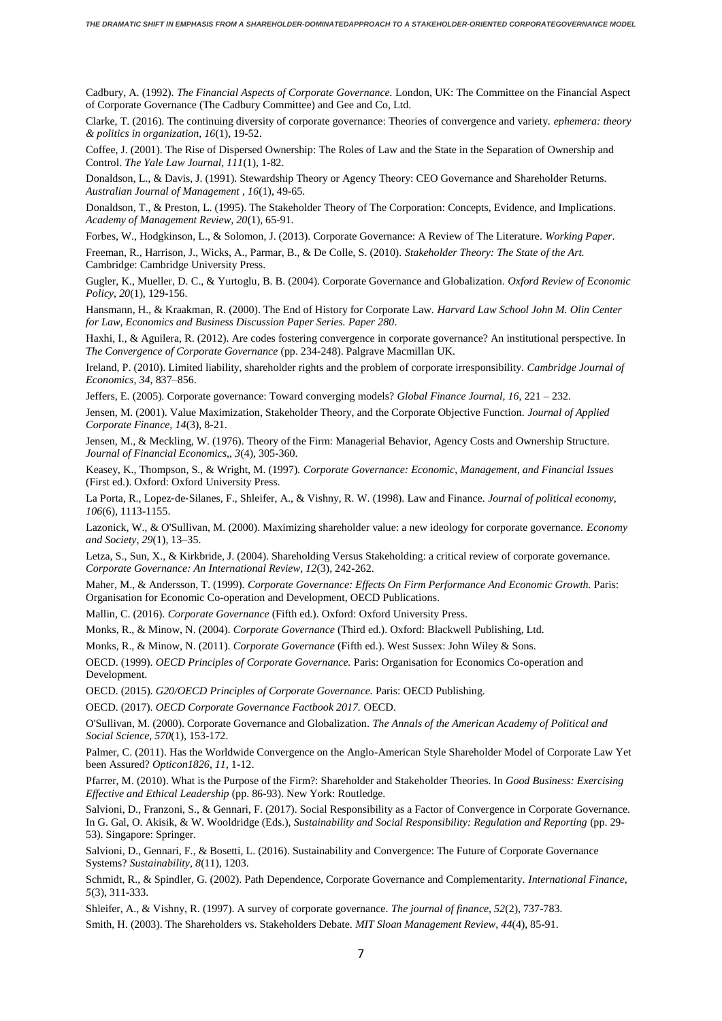Cadbury, A. (1992). *The Financial Aspects of Corporate Governance.* London, UK: The Committee on the Financial Aspect of Corporate Governance (The Cadbury Committee) and Gee and Co, Ltd.

Clarke, T. (2016). The continuing diversity of corporate governance: Theories of convergence and variety. *ephemera: theory & politics in organization, 16*(1), 19-52.

Coffee, J. (2001). The Rise of Dispersed Ownership: The Roles of Law and the State in the Separation of Ownership and Control. *The Yale Law Journal, 111*(1), 1-82.

Donaldson, L., & Davis, J. (1991). Stewardship Theory or Agency Theory: CEO Governance and Shareholder Returns. *Australian Journal of Management , 16*(1), 49-65.

Donaldson, T., & Preston, L. (1995). The Stakeholder Theory of The Corporation: Concepts, Evidence, and Implications. *Academy of Management Review, 20*(1), 65-91.

Forbes, W., Hodgkinson, L., & Solomon, J. (2013). Corporate Governance: A Review of The Literature. *Working Paper*.

Freeman, R., Harrison, J., Wicks, A., Parmar, B., & De Colle, S. (2010). *Stakeholder Theory: The State of the Art.* Cambridge: Cambridge University Press.

Gugler, K., Mueller, D. C., & Yurtoglu, B. B. (2004). Corporate Governance and Globalization. *Oxford Review of Economic Policy, 20*(1), 129-156.

Hansmann, H., & Kraakman, R. (2000). The End of History for Corporate Law. *Harvard Law School John M. Olin Center for Law, Economics and Business Discussion Paper Series. Paper 280*.

Haxhi, I., & Aguilera, R. (2012). Are codes fostering convergence in corporate governance? An institutional perspective. In *The Convergence of Corporate Governance* (pp. 234-248). Palgrave Macmillan UK.

Ireland, P. (2010). Limited liability, shareholder rights and the problem of corporate irresponsibility. *Cambridge Journal of Economics, 34*, 837–856.

Jeffers, E. (2005). Corporate governance: Toward converging models? *Global Finance Journal, 16*, 221 – 232.

Jensen, M. (2001). Value Maximization, Stakeholder Theory, and the Corporate Objective Function. *Journal of Applied Corporate Finance, 14*(3), 8-21.

Jensen, M., & Meckling, W. (1976). Theory of the Firm: Managerial Behavior, Agency Costs and Ownership Structure. *Journal of Financial Economics,, 3*(4), 305-360.

Keasey, K., Thompson, S., & Wright, M. (1997). *Corporate Governance: Economic, Management, and Financial Issues* (First ed.). Oxford: Oxford University Press.

La Porta, R., Lopez-de-Silanes, F., Shleifer, A., & Vishny, R. W. (1998). Law and Finance. *Journal of political economy*, *106*(6), 1113-1155.

Lazonick, W., & O'Sullivan, M. (2000). Maximizing shareholder value: a new ideology for corporate governance. *Economy and Society, 29*(1), 13–35.

Letza, S., Sun, X., & Kirkbride, J. (2004). Shareholding Versus Stakeholding: a critical review of corporate governance. *Corporate Governance: An International Review, 12*(3), 242-262.

Maher, M., & Andersson, T. (1999). *Corporate Governance: Effects On Firm Performance And Economic Growth.* Paris: Organisation for Economic Co-operation and Development, OECD Publications.

Mallin, C. (2016). *Corporate Governance* (Fifth ed.). Oxford: Oxford University Press.

Monks, R., & Minow, N. (2004). *Corporate Governance* (Third ed.). Oxford: Blackwell Publishing, Ltd.

Monks, R., & Minow, N. (2011). *Corporate Governance* (Fifth ed.). West Sussex: John Wiley & Sons.

OECD. (1999). *OECD Principles of Corporate Governance.* Paris: Organisation for Economics Co-operation and Development.

OECD. (2015). *G20/OECD Principles of Corporate Governance.* Paris: OECD Publishing.

OECD. (2017). *OECD Corporate Governance Factbook 2017.* OECD.

O'Sullivan, M. (2000). Corporate Governance and Globalization. *The Annals of the American Academy of Political and Social Science, 570*(1), 153-172.

Palmer, C. (2011). Has the Worldwide Convergence on the Anglo-American Style Shareholder Model of Corporate Law Yet been Assured? *Opticon1826, 11*, 1-12.

Pfarrer, M. (2010). What is the Purpose of the Firm?: Shareholder and Stakeholder Theories. In *Good Business: Exercising Effective and Ethical Leadership* (pp. 86-93). New York: Routledge.

Salvioni, D., Franzoni, S., & Gennari, F. (2017). Social Responsibility as a Factor of Convergence in Corporate Governance. In G. Gal, O. Akisik, & W. Wooldridge (Eds.), *Sustainability and Social Responsibility: Regulation and Reporting* (pp. 29- 53). Singapore: Springer.

Salvioni, D., Gennari, F., & Bosetti, L. (2016). Sustainability and Convergence: The Future of Corporate Governance Systems? *Sustainability, 8*(11), 1203.

Schmidt, R., & Spindler, G. (2002). Path Dependence, Corporate Governance and Complementarity. *International Finance, 5*(3), 311-333.

Shleifer, A., & Vishny, R. (1997). A survey of corporate governance. *The journal of finance, 52*(2), 737-783. Smith, H. (2003). The Shareholders vs. Stakeholders Debate. *MIT Sloan Management Review, 44*(4), 85-91.